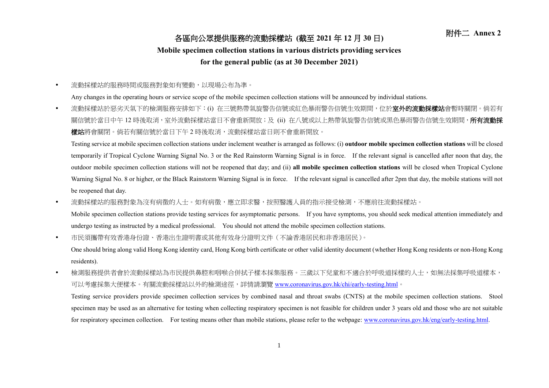## 附件二 **Annex <sup>2</sup>** 各區向公眾提供服務的流動採樣站 **(**截至 **<sup>2021</sup>** <sup>年</sup> **<sup>12</sup>** <sup>月</sup> **<sup>30</sup>** <sup>日</sup>**)**

## **Mobile specimen collection stations in various districts providing services**

## **for the general public (as at 30 December 2021)**

流動採樣站的服務時間或服務對象如有變動,以現場公布為準。

Any changes in the operating hours or service scope of the mobile specimen collection stations will be announced by individual stations.

• 流動採樣站於惡劣天氣下的檢測服務安排如下:(i) 在三號熱帶氣旋警告信號或紅色暴雨警告信號生效期間,位於**室外的流動採樣站**會暫時關閉。倘若有 關信號於當日中午 12 時後取消, 室外流動採樣站當日不會重新開放; 及 (ii) 在八號或以上熱帶氣旋警告信號或黑色暴雨警告信號生效期間,**所有流動採** 樣站將會關閉。倘若有關信號於當日下午2時後取消,流動採樣站當日則不會重新開放。

Testing service at mobile specimen collection stations under inclement weather is arranged as follows: (i) **outdoor mobile specimen collection stations** will be closed temporarily if Tropical Cyclone Warning Signal No. 3 or the Red Rainstorm Warning Signal is in force. If the relevant signal is cancelled after noon that day, the outdoor mobile specimen collection stations will not be reopened that day; and (ii) **all mobile specimen collection stations** will be closed when Tropical Cyclone Warning Signal No. 8 or higher, or the Black Rainstorm Warning Signal is in force. If the relevant signal is cancelled after 2pm that day, the mobile stations will not be reopened that day.

• 流動採樣站的服務對象為沒有病徵的人士。如有病徵,應立即求醫,按照醫護人員的指示接受檢測,不應前往流動採樣站。

Mobile specimen collection stations provide testing services for asymptomatic persons. If you have symptoms, you should seek medical attention immediately and undergo testing as instructed by a medical professional. You should not attend the mobile specimen collection stations.

市民須攜帶有效香港身份證、香港出生證明書或其他有效身分證明文件(不論香港居民和非香港居民)。

One should bring along valid Hong Kong identity card, Hong Kong birth certificate or other valid identity document (whether Hong Kong residents or non-Hong Kong residents).

• 檢測服務提供者會於流動採樣站為市民提供鼻腔和咽喉合併拭子樣本採集服務。三歲以下兒童和不適合於呼吸道採樣的人士,如無法採集呼吸道樣本, 可以考慮採集大便樣本。有關流動採樣站以外的檢測途徑,詳情請瀏覽 [www.coronavirus.gov.hk/chi/early-testing.html](http://www.coronavirus.gov.hk/chi/early-testing.html)。 Testing service providers provide specimen collection services by combined nasal and throat swabs (CNTS) at the mobile specimen collection stations. Stool

specimen may be used as an alternative for testing when collecting respiratory specimen is not feasible for children under 3 years old and those who are not suitable for respiratory specimen collection. For testing means other than mobile stations, please refer to the webpage: [www.coronavirus.gov.hk/eng/early-testing.html.](http://www.coronavirus.gov.hk/eng/early-testing.html)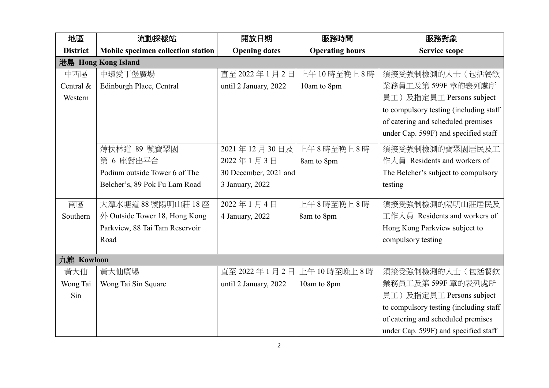| 地區              | 流動採樣站                              | 開放日期                  | 服務時間                   | 服務對象                                    |
|-----------------|------------------------------------|-----------------------|------------------------|-----------------------------------------|
| <b>District</b> | Mobile specimen collection station | <b>Opening dates</b>  | <b>Operating hours</b> | <b>Service scope</b>                    |
|                 | 港島 Hong Kong Island                |                       |                        |                                         |
| 中西區             | 中環愛丁堡廣場                            | 直至 2022年1月2日          | 上午10時至晚上8時             | 須接受強制檢測的人士(包括餐飲                         |
| Central &       | Edinburgh Place, Central           | until 2 January, 2022 | 10am to 8pm            | 業務員工及第599F 章的表列處所                       |
| Western         |                                    |                       |                        | 員工)及指定員工 Persons subject                |
|                 |                                    |                       |                        | to compulsory testing (including staff) |
|                 |                                    |                       |                        | of catering and scheduled premises      |
|                 |                                    |                       |                        | under Cap. 599F) and specified staff    |
|                 | 薄扶林道 89 號寶翠園                       | 2021年12月30日及          | 上午8時至晚上8時              | 須接受強制檢測的寶翠園居民及工                         |
|                 | 第 6 座對出平台                          | 2022年1月3日             | 8am to 8pm             | 作人員 Residents and workers of            |
|                 | Podium outside Tower 6 of The      | 30 December, 2021 and |                        | The Belcher's subject to compulsory     |
|                 | Belcher's, 89 Pok Fu Lam Road      | 3 January, 2022       |                        | testing                                 |
| 南區              | 大潭水塘道 88號陽明山莊 18座                  | 2022年1月4日             | 上午8時至晚上8時              | 須接受強制檢測的陽明山莊居民及                         |
| Southern        | 外 Outside Tower 18, Hong Kong      | 4 January, 2022       | 8am to 8pm             | 工作人員 Residents and workers of           |
|                 | Parkview, 88 Tai Tam Reservoir     |                       |                        | Hong Kong Parkview subject to           |
|                 | Road                               |                       |                        | compulsory testing                      |
| 九龍 Kowloon      |                                    |                       |                        |                                         |
| 黃大仙             | 黃大仙廣場                              | 直至 2022年1月2日          | 上午10時至晚上8時             | 須接受強制檢測的人士(包括餐飲                         |
| Wong Tai        | Wong Tai Sin Square                | until 2 January, 2022 | 10am to 8pm            | 業務員工及第599F 章的表列處所                       |
| Sin             |                                    |                       |                        | 員工)及指定員工 Persons subject                |
|                 |                                    |                       |                        | to compulsory testing (including staff) |
|                 |                                    |                       |                        | of catering and scheduled premises      |
|                 |                                    |                       |                        | under Cap. 599F) and specified staff    |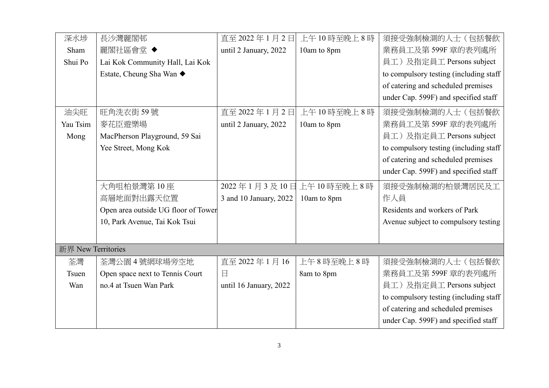| 深水埗                | 長沙灣麗閣邨                              | 直至 2022年1月2日           | 上午10時至晚上8時             | 須接受強制檢測的人士(包括餐飲                         |
|--------------------|-------------------------------------|------------------------|------------------------|-----------------------------------------|
| Sham               | 麗閣社區會堂 ◆                            | until 2 January, 2022  | 10am to 8pm            | 業務員工及第599F 章的表列處所                       |
| Shui Po            | Lai Kok Community Hall, Lai Kok     |                        |                        | 員工)及指定員工 Persons subject                |
|                    | Estate, Cheung Sha Wan ◆            |                        |                        | to compulsory testing (including staff  |
|                    |                                     |                        |                        | of catering and scheduled premises      |
|                    |                                     |                        |                        | under Cap. 599F) and specified staff    |
| 油尖旺                | 旺角洗衣街 59號                           | 直至 2022年1月2日           | 上午10時至晚上8時             | 須接受強制檢測的人士(包括餐飲                         |
| Yau Tsim           | 麥花臣遊樂場                              | until 2 January, 2022  | 10am to 8pm            | 業務員工及第599F 章的表列處所                       |
| Mong               | MacPherson Playground, 59 Sai       |                        |                        | 員工)及指定員工 Persons subject                |
|                    | Yee Street, Mong Kok                |                        |                        | to compulsory testing (including staff  |
|                    |                                     |                        |                        | of catering and scheduled premises      |
|                    |                                     |                        |                        | under Cap. 599F) and specified staff    |
|                    | 大角咀柏景灣第10座                          |                        | 2022年1月3及10日上午10時至晚上8時 | 須接受強制檢測的柏景灣居民及工                         |
|                    | 高層地面對出露天位置                          | 3 and 10 January, 2022 | 10am to 8pm            | 作人員                                     |
|                    | Open area outside UG floor of Tower |                        |                        | Residents and workers of Park           |
|                    | 10, Park Avenue, Tai Kok Tsui       |                        |                        | Avenue subject to compulsory testing    |
|                    |                                     |                        |                        |                                         |
| 新界 New Territories |                                     |                        |                        |                                         |
| 荃灣                 | 荃灣公園4號網球場旁空地                        | 直至 2022年1月16           | 上午8時至晚上8時              | 須接受強制檢測的人士(包括餐飲                         |
| Tsuen              | Open space next to Tennis Court     | 日                      | 8am to 8pm             | 業務員工及第599F 章的表列處所                       |
| Wan                | no.4 at Tsuen Wan Park              | until 16 January, 2022 |                        | 員工)及指定員工 Persons subject                |
|                    |                                     |                        |                        | to compulsory testing (including staff) |
|                    |                                     |                        |                        | of catering and scheduled premises      |
|                    |                                     |                        |                        | under Cap. 599F) and specified staff    |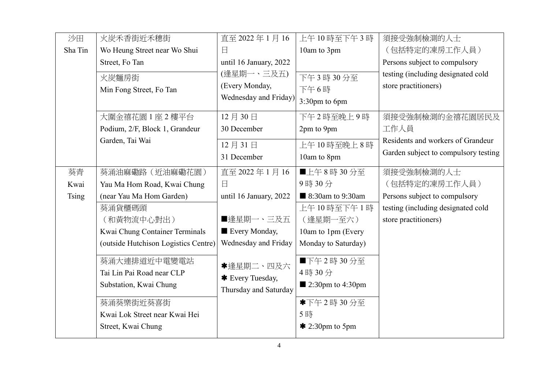| 沙田           | 火炭禾香街近禾穗街                            | 直至 2022年1月16                            | 上午10時至下午3時                      | 須接受強制檢測的人士                           |
|--------------|--------------------------------------|-----------------------------------------|---------------------------------|--------------------------------------|
| Sha Tin      | Wo Heung Street near Wo Shui         | 日                                       | 10am to 3pm                     | (包括特定的凍房工作人員)                        |
|              | Street, Fo Tan                       | until 16 January, 2022                  |                                 | Persons subject to compulsory        |
|              | 火炭麵房街                                | (逢星期一、三及五)                              | 下午3時30分至                        | testing (including designated cold   |
|              | Min Fong Street, Fo Tan              | (Every Monday,<br>Wednesday and Friday) | 下午6時                            | store practitioners)                 |
|              |                                      |                                         | 3:30pm to 6pm                   |                                      |
|              | 大圍金禧花園1座2樓平台                         | 12月30日                                  | 下午2時至晚上9時                       | 須接受強制檢測的金禧花園居民及                      |
|              | Podium, 2/F, Block 1, Grandeur       | 30 December                             | 2pm to 9pm                      | 工作人員                                 |
|              | Garden, Tai Wai                      | 12月31日                                  | 上午10時至晚上8時                      | Residents and workers of Grandeur    |
|              |                                      | 31 December                             | 10am to 8pm                     | Garden subject to compulsory testing |
| 葵青           | 葵涌油麻磡路 (近油麻磡花園)                      | 直至 2022年1月16                            | ■上午8時30分至                       | 須接受強制檢測的人士                           |
| Kwai         | Yau Ma Hom Road, Kwai Chung          | $\Box$                                  | 9時30分                           | (包括特定的凍房工作人員)                        |
| <b>Tsing</b> | (near Yau Ma Hom Garden)             | until 16 January, 2022                  | ■ 8:30am to 9:30am              | Persons subject to compulsory        |
|              | 葵涌貨櫃碼頭                               |                                         | 上午10時至下午1時                      | testing (including designated cold   |
|              | (和黃物流中心對出)                           | ■逢星期一、三及五                               | (逢星期一至六)                        | store practitioners)                 |
|              | Kwai Chung Container Terminals       | Every Monday,                           | 10am to 1pm (Every              |                                      |
|              | (outside Hutchison Logistics Centre) | Wednesday and Friday                    | Monday to Saturday)             |                                      |
|              | 葵涌大連排道近中電變電站                         | *逢星期二、四及六                               | ■下午2時30分至                       |                                      |
|              | Tai Lin Pai Road near CLP            | * Every Tuesday,                        | 4時30分                           |                                      |
|              | Substation, Kwai Chung               | Thursday and Saturday                   | $\blacksquare$ 2:30pm to 4:30pm |                                      |
|              | 葵涌葵樂街近葵喜街                            |                                         | *下午2時30分至                       |                                      |
|              | Kwai Lok Street near Kwai Hei        |                                         | 5時                              |                                      |
|              | Street, Kwai Chung                   |                                         | $*$ 2:30pm to 5pm               |                                      |
|              |                                      |                                         |                                 |                                      |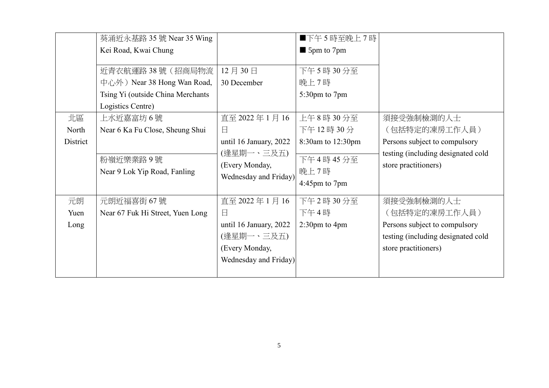|                         | 葵涌近永基路 35 號 Near 35 Wing                                                                                   |                                                                                                           | ■下午5時至晚上7時                                |                                                                                                                            |
|-------------------------|------------------------------------------------------------------------------------------------------------|-----------------------------------------------------------------------------------------------------------|-------------------------------------------|----------------------------------------------------------------------------------------------------------------------------|
|                         | Kei Road, Kwai Chung                                                                                       |                                                                                                           | $\blacksquare$ 5pm to 7pm                 |                                                                                                                            |
|                         | 近青衣航運路 38號 (招商局物流<br>中心外) Near 38 Hong Wan Road,<br>Tsing Yi (outside China Merchants<br>Logistics Centre) | 12月30日<br>30 December                                                                                     | 下午5時30分至<br>晚上7時<br>5:30pm to 7pm         |                                                                                                                            |
| 北區<br>North<br>District | 上水近嘉富坊 6 號<br>Near 6 Ka Fu Close, Sheung Shui                                                              | 直至 2022年1月16<br>日<br>until 16 January, 2022                                                               | 上午8時30分至<br>下午12時30分<br>8:30am to 12:30pm | 須接受強制檢測的人士<br>(包括特定的凍房工作人員)<br>Persons subject to compulsory                                                               |
|                         | 粉嶺近樂業路9號<br>Near 9 Lok Yip Road, Fanling                                                                   | (逢星期一、三及五)<br>(Every Monday,<br>Wednesday and Friday)                                                     | 下午4時45分至<br>晚上7時<br>4:45pm to 7pm         | testing (including designated cold<br>store practitioners)                                                                 |
| 元朗<br>Yuen<br>Long      | 元朗近福喜街 67號<br>Near 67 Fuk Hi Street, Yuen Long                                                             | 直至 2022年1月16<br>$\Box$<br>until 16 January, 2022<br>(逢星期一、三及五)<br>(Every Monday,<br>Wednesday and Friday) | 下午2時30分至<br>下午4時<br>$2:30$ pm to 4pm      | 須接受強制檢測的人士<br>(包括特定的凍房工作人員)<br>Persons subject to compulsory<br>testing (including designated cold<br>store practitioners) |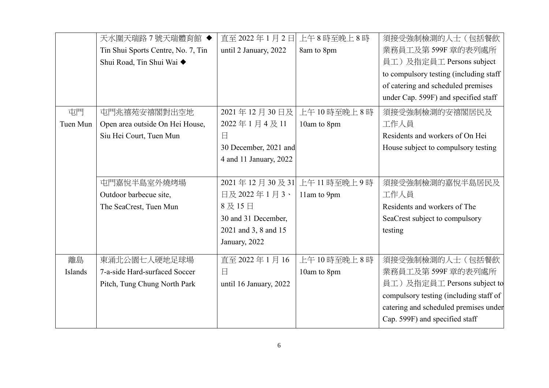|                | 天水圍天瑞路7號天瑞體育館◆                     |                        | 直至 2022年1月2日 上午8時至晚上8時 | 須接受強制檢測的人士(包括餐飲                        |
|----------------|------------------------------------|------------------------|------------------------|----------------------------------------|
|                | Tin Shui Sports Centre, No. 7, Tin | until 2 January, 2022  | 8am to 8pm             | 業務員工及第599F 章的表列處所                      |
|                | Shui Road, Tin Shui Wai ◆          |                        |                        | 員工)及指定員工 Persons subject               |
|                |                                    |                        |                        | to compulsory testing (including staff |
|                |                                    |                        |                        | of catering and scheduled premises     |
|                |                                    |                        |                        | under Cap. 599F) and specified staff   |
| 屯門             | 屯門兆禧苑安禧閣對出空地                       | 2021年12月30日及           | 上午10時至晚上8時             | 須接受強制檢測的安禧閣居民及                         |
| Tuen Mun       | Open area outside On Hei House,    | 2022年1月4及11            | 10am to 8pm            | 工作人員                                   |
|                | Siu Hei Court, Tuen Mun            | 日                      |                        | Residents and workers of On Hei        |
|                |                                    | 30 December, 2021 and  |                        | House subject to compulsory testing    |
|                |                                    | 4 and 11 January, 2022 |                        |                                        |
|                |                                    |                        |                        |                                        |
|                | 屯門嘉悅半島室外燒烤場                        | 2021年12月30及31          | 上午11時至晚上9時             | 須接受強制檢測的嘉悅半島居民及                        |
|                | Outdoor barbecue site,             | 日及2022年1月3、            | 11am to 9pm            | 工作人員                                   |
|                | The SeaCrest, Tuen Mun             | 8及15日                  |                        | Residents and workers of The           |
|                |                                    | 30 and 31 December,    |                        | SeaCrest subject to compulsory         |
|                |                                    | 2021 and 3, 8 and 15   |                        | testing                                |
|                |                                    | January, 2022          |                        |                                        |
| 離島             | 東涌北公園七人硬地足球場                       | 直至 2022年1月16           | 上午10時至晚上8時             | 須接受強制檢測的人士(包括餐飲                        |
| <b>Islands</b> | 7-a-side Hard-surfaced Soccer      | 日                      | 10am to 8pm            | 業務員工及第 599F 章的表列處所                     |
|                | Pitch, Tung Chung North Park       | until 16 January, 2022 |                        | 員工)及指定員工 Persons subject to            |
|                |                                    |                        |                        | compulsory testing (including staff of |
|                |                                    |                        |                        | catering and scheduled premises under  |
|                |                                    |                        |                        | Cap. 599F) and specified staff         |
|                |                                    |                        |                        |                                        |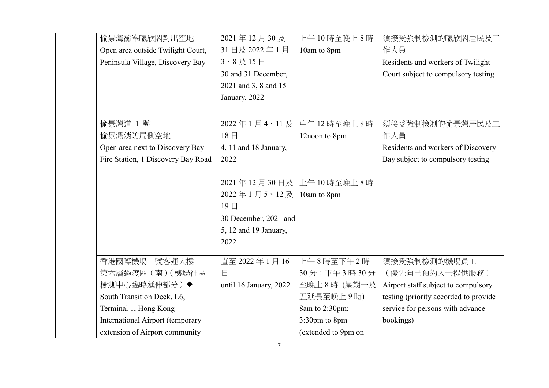| 愉景灣蘅峯曦欣閣對出空地                       | 2021年12月30及              | 上午10時至晚上8時              | 須接受強制檢測的曦欣閣居民及工                       |
|------------------------------------|--------------------------|-------------------------|---------------------------------------|
| Open area outside Twilight Court,  | 31日及2022年1月              | 10am to 8pm             | 作人員                                   |
| Peninsula Village, Discovery Bay   | $3 \cdot 8$ 及 $15$ 日     |                         | Residents and workers of Twilight     |
|                                    | 30 and 31 December,      |                         | Court subject to compulsory testing   |
|                                    | 2021 and 3, 8 and 15     |                         |                                       |
|                                    | January, 2022            |                         |                                       |
|                                    |                          |                         |                                       |
| 偷景灣道 1號                            | 2022年1月4、11及             | 中午12時至晚上8時              | 須接受強制檢測的愉景灣居民及工                       |
| 愉景灣消防局側空地                          | $18 \text{ }$            | 12noon to 8pm           | 作人員                                   |
| Open area next to Discovery Bay    | 4, 11 and 18 January,    |                         | Residents and workers of Discovery    |
| Fire Station, 1 Discovery Bay Road | 2022                     |                         | Bay subject to compulsory testing     |
|                                    |                          |                         |                                       |
|                                    |                          | 2021年12月30日及 上午10時至晚上8時 |                                       |
|                                    | 2022年1月5、12及 10am to 8pm |                         |                                       |
|                                    | 19日                      |                         |                                       |
|                                    | 30 December, 2021 and    |                         |                                       |
|                                    | 5, 12 and 19 January,    |                         |                                       |
|                                    | 2022                     |                         |                                       |
| 香港國際機場一號客運大樓                       | 直至 2022年1月16             | 上午8時至下午2時               | 須接受強制檢測的機場員工                          |
| 第六層過渡區 (南) (機場社區                   | $\Box$                   | 30分;下午3時30分             | (優先向已預約人士提供服務)                        |
| 檢測中心臨時延伸部分)◆                       | until 16 January, 2022   | 至晚上8時 (星期一及             | Airport staff subject to compulsory   |
| South Transition Deck, L6,         |                          | 五延長至晚上9時)               | testing (priority accorded to provide |
| Terminal 1, Hong Kong              |                          | 8am to 2:30pm;          | service for persons with advance      |
| International Airport (temporary   |                          | 3:30pm to 8pm           | bookings)                             |
| extension of Airport community     |                          | (extended to 9pm on     |                                       |